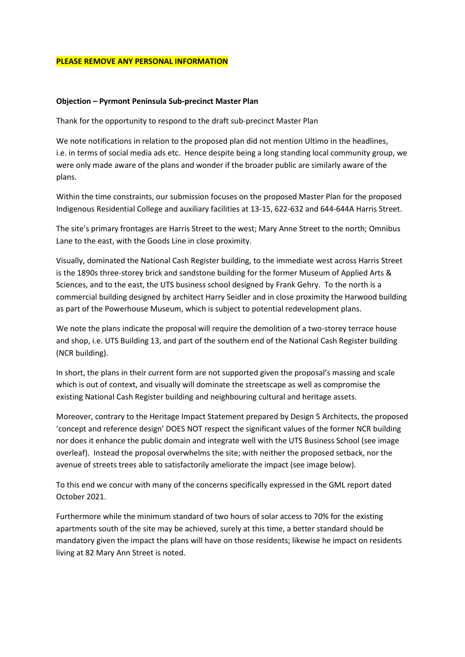## **PLEASE REMOVE ANY PERSONAL INFORMATION**

## **Objection – Pyrmont Peninsula Sub-precinct Master Plan**

Thank for the opportunity to respond to the draft sub-precinct Master Plan

We note notifications in relation to the proposed plan did not mention Ultimo in the headlines, i.e. in terms of social media ads etc. Hence despite being a long standing local community group, we were only made aware of the plans and wonder if the broader public are similarly aware of the plans.

Within the time constraints, our submission focuses on the proposed Master Plan for the proposed Indigenous Residential College and auxiliary facilities at 13-15, 622-632 and 644-644A Harris Street.

The site's primary frontages are Harris Street to the west; Mary Anne Street to the north; Omnibus Lane to the east, with the Goods Line in close proximity.

Visually, dominated the National Cash Register building, to the immediate west across Harris Street is the 1890s three-storey brick and sandstone building for the former Museum of Applied Arts & Sciences, and to the east, the UTS business school designed by Frank Gehry. To the north is a commercial building designed by architect Harry Seidler and in close proximity the Harwood building as part of the Powerhouse Museum, which is subject to potential redevelopment plans.

We note the plans indicate the proposal will require the demolition of a two-storey terrace house and shop, i.e. UTS Building 13, and part of the southern end of the National Cash Register building (NCR building).

In short, the plans in their current form are not supported given the proposal's massing and scale which is out of context, and visually will dominate the streetscape as well as compromise the existing National Cash Register building and neighbouring cultural and heritage assets.

Moreover, contrary to the Heritage Impact Statement prepared by Design 5 Architects, the proposed 'concept and reference design' DOES NOT respect the significant values of the former NCR building nor does it enhance the public domain and integrate well with the UTS Business School (see image overleaf). Instead the proposal overwhelms the site; with neither the proposed setback, nor the avenue of streets trees able to satisfactorily ameliorate the impact (see image below).

To this end we concur with many of the concerns specifically expressed in the GML report dated October 2021.

Furthermore while the minimum standard of two hours of solar access to 70% for the existing apartments south of the site may be achieved, surely at this time, a better standard should be mandatory given the impact the plans will have on those residents; likewise he impact on residents living at 82 Mary Ann Street is noted.